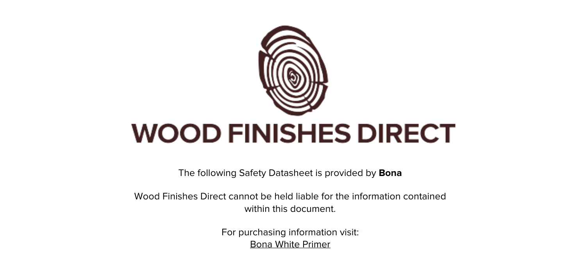

The following Safety Datasheet is provided by **Bona**

Wood Finishes Direct cannot be held liable for the information contained within this document.

> For purchasing information visit: [Bona White Primer](https://www.wood-finishes-direct.com/product/bona-white-primer)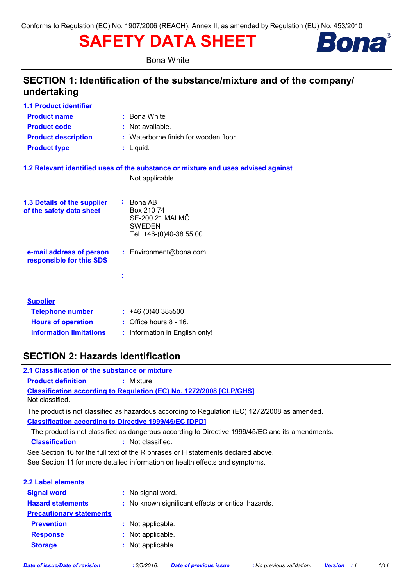# **SAFETY DATA SHEET**



**Bona White** 

# SECTION 1: Identification of the substance/mixture and of the company/ undertaking

| <b>1.1 Product identifier</b>                        |                                                                                   |
|------------------------------------------------------|-----------------------------------------------------------------------------------|
| <b>Product name</b>                                  | : Bona White                                                                      |
| <b>Product code</b>                                  | : Not available.                                                                  |
| <b>Product description</b>                           | : Waterborne finish for wooden floor                                              |
| <b>Product type</b>                                  | $:$ Liquid.                                                                       |
|                                                      | 1.2 Relevant identified uses of the substance or mixture and uses advised against |
|                                                      | Not applicable.                                                                   |
| 1.3 Details of the supplier                          | Bona AB<br>÷.<br>Box 210 74                                                       |
| of the safety data sheet                             | <b>SE-200 21 MALMÖ</b><br><b>SWEDEN</b>                                           |
|                                                      | Tel. +46-(0)40-38 55 00                                                           |
| e-mail address of person<br>responsible for this SDS | : Environment@bona.com                                                            |
|                                                      |                                                                                   |
|                                                      | t                                                                                 |
|                                                      |                                                                                   |
| <b>Supplier</b>                                      |                                                                                   |
| <b>Telephone number</b>                              | : 46(0)40385500                                                                   |
| <b>Hours of operation</b>                            | $:$ Office hours $8 - 16$ .                                                       |
| <b>Information limitations</b>                       | : Information in English only!                                                    |
|                                                      |                                                                                   |

# **SECTION 2: Hazards identification**

| 2.1 Classification of the substance or mixture |                                                                                                                                                                |
|------------------------------------------------|----------------------------------------------------------------------------------------------------------------------------------------------------------------|
| <b>Product definition</b>                      | $:$ Mixture                                                                                                                                                    |
| Not classified.                                | <b>Classification according to Regulation (EC) No. 1272/2008 [CLP/GHS]</b>                                                                                     |
|                                                | The product is not classified as hazardous according to Regulation (EC) 1272/2008 as amended.<br><b>Classification according to Directive 1999/45/EC [DPD]</b> |
| <b>Classification</b>                          | The product is not classified as dangerous according to Directive 1999/45/EC and its amendments.<br>: Not classified.                                          |
|                                                | See Section 16 for the full text of the R phrases or H statements declared above.                                                                              |
|                                                | See Section 11 for more detailed information on health effects and symptoms.                                                                                   |
| <b>2.2 Label elements</b>                      |                                                                                                                                                                |
| <b>Signal word</b>                             | : No signal word.                                                                                                                                              |
| <b>Hazard statements</b>                       | : No known significant effects or critical hazards.                                                                                                            |
| <b>Precautionary statements</b>                |                                                                                                                                                                |
| <b>Prevention</b>                              | : Not applicable.                                                                                                                                              |
| <b>Response</b>                                | : Not applicable.                                                                                                                                              |
| <b>Storage</b>                                 | : Not applicable.                                                                                                                                              |
|                                                |                                                                                                                                                                |

**Date of issue/Date of revision**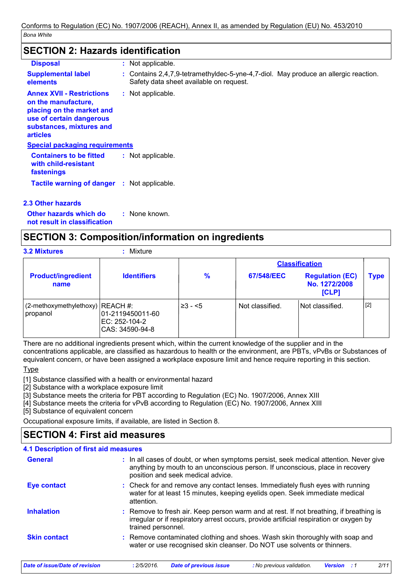### **SECTION 2: Hazards identification**

| <b>Disposal</b>                                                                                                                                                 | : Not applicable.                                                                                                              |
|-----------------------------------------------------------------------------------------------------------------------------------------------------------------|--------------------------------------------------------------------------------------------------------------------------------|
| <b>Supplemental label</b><br>elements                                                                                                                           | : Contains 2,4,7,9-tetramethyldec-5-yne-4,7-diol. May produce an allergic reaction.<br>Safety data sheet available on request. |
| <b>Annex XVII - Restrictions</b><br>on the manufacture,<br>placing on the market and<br>use of certain dangerous<br>substances, mixtures and<br><b>articles</b> | : Not applicable.                                                                                                              |
| <b>Special packaging requirements</b>                                                                                                                           |                                                                                                                                |
| <b>Containers to be fitted</b><br>with child-resistant<br>fastenings                                                                                            | : Not applicable.                                                                                                              |
| <b>Tactile warning of danger : Not applicable.</b>                                                                                                              |                                                                                                                                |

### 2.3 Other hazards

Other hazards which do : None known. not result in classification

### **SECTION 3: Composition/information on ingredients**

**3.2 Mixtures** 

### : Mixture

|                                                 |                                                      |               |                 | <b>Classification</b>                            |      |
|-------------------------------------------------|------------------------------------------------------|---------------|-----------------|--------------------------------------------------|------|
| <b>Product/ingredient</b><br>name               | <b>Identifiers</b>                                   | $\frac{9}{6}$ | 67/548/EEC      | <b>Regulation (EC)</b><br>No. 1272/2008<br>[CLP] | Type |
| $(2$ -methoxymethylethoxy) REACH #:<br>propanol | 01-2119450011-60<br>EC: 252-104-2<br>CAS: 34590-94-8 | $\geq 3 - 5$  | Not classified. | Not classified.                                  | [2]  |

There are no additional ingredients present which, within the current knowledge of the supplier and in the concentrations applicable, are classified as hazardous to health or the environment, are PBTs, vPvBs or Substances of equivalent concern, or have been assigned a workplace exposure limit and hence require reporting in this section.

### Type

[1] Substance classified with a health or environmental hazard

[2] Substance with a workplace exposure limit

[3] Substance meets the criteria for PBT according to Regulation (EC) No. 1907/2006, Annex XIII

[4] Substance meets the criteria for vPvB according to Regulation (EC) No. 1907/2006, Annex XIII

[5] Substance of equivalent concern

Occupational exposure limits, if available, are listed in Section 8.

# **SECTION 4: First aid measures**

| <b>4.1 Description of first aid measures</b>                                                                                                                                                                |
|-------------------------------------------------------------------------------------------------------------------------------------------------------------------------------------------------------------|
| : In all cases of doubt, or when symptoms persist, seek medical attention. Never give<br>anything by mouth to an unconscious person. If unconscious, place in recovery<br>position and seek medical advice. |
| : Check for and remove any contact lenses. Immediately flush eyes with running<br>water for at least 15 minutes, keeping eyelids open. Seek immediate medical<br>attention.                                 |
| : Remove to fresh air. Keep person warm and at rest. If not breathing, if breathing is<br>irregular or if respiratory arrest occurs, provide artificial respiration or oxygen by<br>trained personnel.      |
| : Remove contaminated clothing and shoes. Wash skin thoroughly with soap and<br>water or use recognised skin cleanser. Do NOT use solvents or thinners.                                                     |
|                                                                                                                                                                                                             |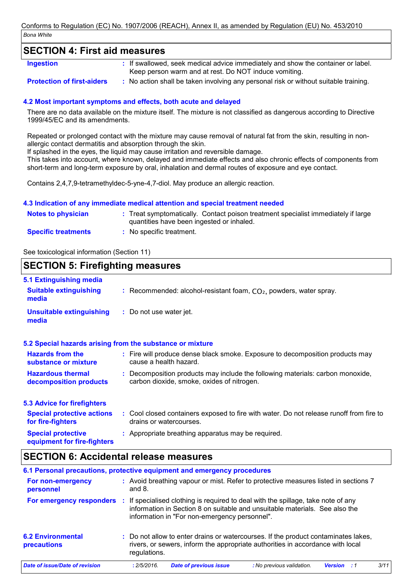### **SECTION 4: First aid measures**

**Ingestion** 

: If swallowed, seek medical advice immediately and show the container or label. Keep person warm and at rest. Do NOT induce vomiting.

#### **Protection of first-aiders**

: No action shall be taken involving any personal risk or without suitable training.

### 4.2 Most important symptoms and effects, both acute and delayed

There are no data available on the mixture itself. The mixture is not classified as dangerous according to Directive 1999/45/EC and its amendments.

Repeated or prolonged contact with the mixture may cause removal of natural fat from the skin, resulting in nonallergic contact dermatitis and absorption through the skin.

If splashed in the eyes, the liquid may cause irritation and reversible damage.

This takes into account, where known, delayed and immediate effects and also chronic effects of components from short-term and long-term exposure by oral, inhalation and dermal routes of exposure and eye contact.

Contains 2.4.7.9-tetramethyldec-5-yne-4.7-diol. May produce an allergic reaction.

#### 4.3 Indication of any immediate medical attention and special treatment needed

| <b>Notes to physician</b>  | : Treat symptomatically. Contact poison treatment specialist immediately if large<br>quantities have been ingested or inhaled. |
|----------------------------|--------------------------------------------------------------------------------------------------------------------------------|
| <b>Specific treatments</b> | : No specific treatment.                                                                                                       |

See toxicological information (Section 11)

#### **SECTION 5: Firefighting measures** 5.1 Extinguishing media **Suitable extinguishing** : Recommended: alcohol-resistant foam,  $CO<sub>2</sub>$ , powders, water spray. media **Unsuitable extinguishing** : Do not use water jet. media 5.2 Special hazards arising from the substance or mixture **Hazards from the** : Fire will produce dense black smoke. Exposure to decomposition products may cause a health hazard. substance or mixture : Decomposition products may include the following materials: carbon monoxide, **Hazardous thermal** carbon dioxide, smoke, oxides of nitrogen. decomposition products **5.3 Advice for firefighters Special protective actions** : Cool closed containers exposed to fire with water. Do not release runoff from fire to for fire-fighters drains or watercourses. **Special protective** : Appropriate breathing apparatus may be required. equipment for fire-fighters

### **SECTION 6: Accidental release measures**

| 6.1 Personal precautions, protective equipment and emergency procedures |              |                                               |                                                                                                                                                                      |                |           |      |
|-------------------------------------------------------------------------|--------------|-----------------------------------------------|----------------------------------------------------------------------------------------------------------------------------------------------------------------------|----------------|-----------|------|
| For non-emergency<br>personnel                                          | and $8.$     |                                               | : Avoid breathing vapour or mist. Refer to protective measures listed in sections 7                                                                                  |                |           |      |
| For emergency responders                                                |              | information in "For non-emergency personnel". | If specialised clothing is required to deal with the spillage, take note of any<br>information in Section 8 on suitable and unsuitable materials. See also the       |                |           |      |
| <b>6.2 Environmental</b><br><b>precautions</b>                          | regulations. |                                               | : Do not allow to enter drains or watercourses. If the product contaminates lakes,<br>rivers, or sewers, inform the appropriate authorities in accordance with local |                |           |      |
| <b>Date of issue/Date of revision</b>                                   | : 2/5/2016.  | <b>Date of previous issue</b>                 | : No previous validation.                                                                                                                                            | <b>Version</b> | $\cdot$ 1 | 3/11 |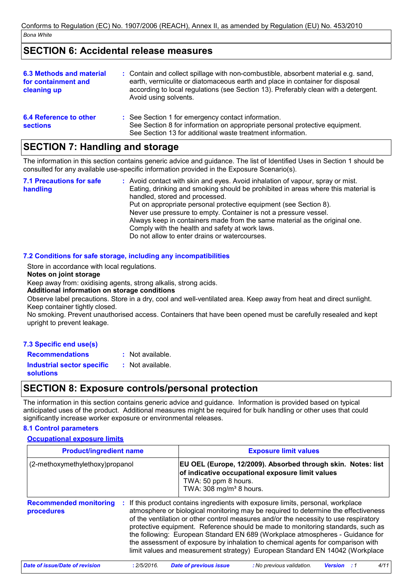# **SECTION 6: Accidental release measures**

| <b>6.3 Methods and material</b><br>for containment and<br>cleaning up | : Contain and collect spillage with non-combustible, absorbent material e.g. sand,<br>earth, vermiculite or diatomaceous earth and place in container for disposal<br>according to local regulations (see Section 13). Preferably clean with a detergent.<br>Avoid using solvents. |
|-----------------------------------------------------------------------|------------------------------------------------------------------------------------------------------------------------------------------------------------------------------------------------------------------------------------------------------------------------------------|
| 6.4 Reference to other<br><b>sections</b>                             | : See Section 1 for emergency contact information.<br>See Section 8 for information on appropriate personal protective equipment.<br>See Section 13 for additional waste treatment information.                                                                                    |

# **SECTION 7: Handling and storage**

The information in this section contains generic advice and guidance. The list of Identified Uses in Section 1 should be consulted for any available use-specific information provided in the Exposure Scenario(s).

: Avoid contact with skin and eyes. Avoid inhalation of vapour, spray or mist. **7.1 Precautions for safe** Eating, drinking and smoking should be prohibited in areas where this material is handling handled, stored and processed. Put on appropriate personal protective equipment (see Section 8). Never use pressure to empty. Container is not a pressure vessel. Always keep in containers made from the same material as the original one. Comply with the health and safety at work laws. Do not allow to enter drains or watercourses.

### 7.2 Conditions for safe storage, including any incompatibilities

Store in accordance with local regulations.

#### Notes on joint storage

Keep away from: oxidising agents, strong alkalis, strong acids.

Additional information on storage conditions

Observe label precautions. Store in a dry, cool and well-ventilated area. Keep away from heat and direct sunlight. Keep container tightly closed.

No smoking. Prevent unauthorised access. Containers that have been opened must be carefully resealed and kept upright to prevent leakage.

### 7.3 Specific end use(s)

: Not available. **Recommendations Industrial sector specific** : Not available. **solutions** 

# **SECTION 8: Exposure controls/personal protection**

The information in this section contains generic advice and quidance. Information is provided based on typical anticipated uses of the product. Additional measures might be required for bulk handling or other uses that could significantly increase worker exposure or environmental releases.

### **8.1 Control parameters**

**Occupational exposure limits** 

| <b>Product/ingredient name</b>                | <b>Exposure limit values</b>                                                                                                                                                                                                                                                                                                                                                                                                                                                                                                                                                                        |  |  |  |  |
|-----------------------------------------------|-----------------------------------------------------------------------------------------------------------------------------------------------------------------------------------------------------------------------------------------------------------------------------------------------------------------------------------------------------------------------------------------------------------------------------------------------------------------------------------------------------------------------------------------------------------------------------------------------------|--|--|--|--|
| (2-methoxymethylethoxy)propanol               | EU OEL (Europe, 12/2009). Absorbed through skin. Notes: list<br>of indicative occupational exposure limit values<br>TWA: 50 ppm 8 hours.<br>TWA: 308 mg/m <sup>3</sup> 8 hours.                                                                                                                                                                                                                                                                                                                                                                                                                     |  |  |  |  |
| <b>Recommended monitoring</b><br>procedures   | If this product contains ingredients with exposure limits, personal, workplace<br>atmosphere or biological monitoring may be required to determine the effectiveness<br>of the ventilation or other control measures and/or the necessity to use respiratory<br>protective equipment. Reference should be made to monitoring standards, such as<br>the following: European Standard EN 689 (Workplace atmospheres - Guidance for<br>the assessment of exposure by inhalation to chemical agents for comparison with<br>limit values and measurement strategy) European Standard EN 14042 (Workplace |  |  |  |  |
| Date of issue/Date of revision<br>: 2/5/2016. | <b>Date of previous issue</b><br>4/11<br>: No previous validation.<br><b>Version</b>                                                                                                                                                                                                                                                                                                                                                                                                                                                                                                                |  |  |  |  |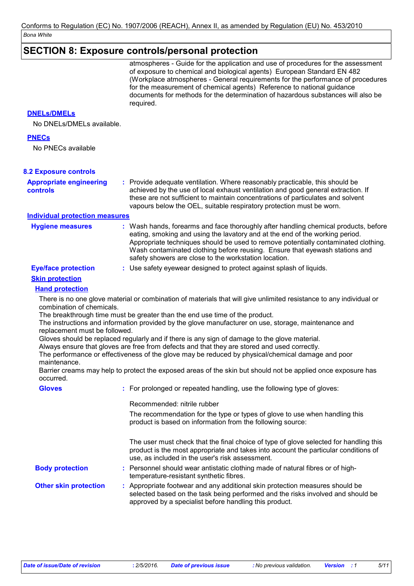# **SECTION 8: Exposure controls/personal protection**

|                                                                            | atmospheres - Guide for the application and use of procedures for the assessment<br>of exposure to chemical and biological agents) European Standard EN 482<br>(Workplace atmospheres - General requirements for the performance of procedures<br>for the measurement of chemical agents) Reference to national guidance<br>documents for methods for the determination of hazardous substances will also be<br>required.                                                                                                                                                                                                                                                                                                        |
|----------------------------------------------------------------------------|----------------------------------------------------------------------------------------------------------------------------------------------------------------------------------------------------------------------------------------------------------------------------------------------------------------------------------------------------------------------------------------------------------------------------------------------------------------------------------------------------------------------------------------------------------------------------------------------------------------------------------------------------------------------------------------------------------------------------------|
| <b>DNELS/DMELS</b><br>No DNELs/DMELs available.                            |                                                                                                                                                                                                                                                                                                                                                                                                                                                                                                                                                                                                                                                                                                                                  |
| <b>PNECs</b>                                                               |                                                                                                                                                                                                                                                                                                                                                                                                                                                                                                                                                                                                                                                                                                                                  |
| No PNECs available                                                         |                                                                                                                                                                                                                                                                                                                                                                                                                                                                                                                                                                                                                                                                                                                                  |
| <b>8.2 Exposure controls</b>                                               |                                                                                                                                                                                                                                                                                                                                                                                                                                                                                                                                                                                                                                                                                                                                  |
| <b>Appropriate engineering</b><br><b>controls</b>                          | : Provide adequate ventilation. Where reasonably practicable, this should be<br>achieved by the use of local exhaust ventilation and good general extraction. If<br>these are not sufficient to maintain concentrations of particulates and solvent<br>vapours below the OEL, suitable respiratory protection must be worn.                                                                                                                                                                                                                                                                                                                                                                                                      |
| <b>Individual protection measures</b>                                      |                                                                                                                                                                                                                                                                                                                                                                                                                                                                                                                                                                                                                                                                                                                                  |
| <b>Hygiene measures</b>                                                    | : Wash hands, forearms and face thoroughly after handling chemical products, before<br>eating, smoking and using the lavatory and at the end of the working period.<br>Appropriate techniques should be used to remove potentially contaminated clothing.<br>Wash contaminated clothing before reusing. Ensure that eyewash stations and<br>safety showers are close to the workstation location.                                                                                                                                                                                                                                                                                                                                |
| <b>Eye/face protection</b>                                                 | : Use safety eyewear designed to protect against splash of liquids.                                                                                                                                                                                                                                                                                                                                                                                                                                                                                                                                                                                                                                                              |
| <b>Skin protection</b>                                                     |                                                                                                                                                                                                                                                                                                                                                                                                                                                                                                                                                                                                                                                                                                                                  |
| <b>Hand protection</b>                                                     |                                                                                                                                                                                                                                                                                                                                                                                                                                                                                                                                                                                                                                                                                                                                  |
| combination of chemicals.<br>replacement must be followed.<br>maintenance. | There is no one glove material or combination of materials that will give unlimited resistance to any individual or<br>The breakthrough time must be greater than the end use time of the product.<br>The instructions and information provided by the glove manufacturer on use, storage, maintenance and<br>Gloves should be replaced regularly and if there is any sign of damage to the glove material.<br>Always ensure that gloves are free from defects and that they are stored and used correctly.<br>The performance or effectiveness of the glove may be reduced by physical/chemical damage and poor<br>Barrier creams may help to protect the exposed areas of the skin but should not be applied once exposure has |
| occurred.                                                                  |                                                                                                                                                                                                                                                                                                                                                                                                                                                                                                                                                                                                                                                                                                                                  |
| <b>Gloves</b>                                                              | : For prolonged or repeated handling, use the following type of gloves:                                                                                                                                                                                                                                                                                                                                                                                                                                                                                                                                                                                                                                                          |
|                                                                            | Recommended: nitrile rubber                                                                                                                                                                                                                                                                                                                                                                                                                                                                                                                                                                                                                                                                                                      |
|                                                                            | The recommendation for the type or types of glove to use when handling this<br>product is based on information from the following source:                                                                                                                                                                                                                                                                                                                                                                                                                                                                                                                                                                                        |
|                                                                            | The user must check that the final choice of type of glove selected for handling this<br>product is the most appropriate and takes into account the particular conditions of<br>use, as included in the user's risk assessment.                                                                                                                                                                                                                                                                                                                                                                                                                                                                                                  |
| <b>Body protection</b>                                                     | : Personnel should wear antistatic clothing made of natural fibres or of high-<br>temperature-resistant synthetic fibres.                                                                                                                                                                                                                                                                                                                                                                                                                                                                                                                                                                                                        |
| <b>Other skin protection</b>                                               | : Appropriate footwear and any additional skin protection measures should be<br>selected based on the task being performed and the risks involved and should be<br>approved by a specialist before handling this product.                                                                                                                                                                                                                                                                                                                                                                                                                                                                                                        |
|                                                                            |                                                                                                                                                                                                                                                                                                                                                                                                                                                                                                                                                                                                                                                                                                                                  |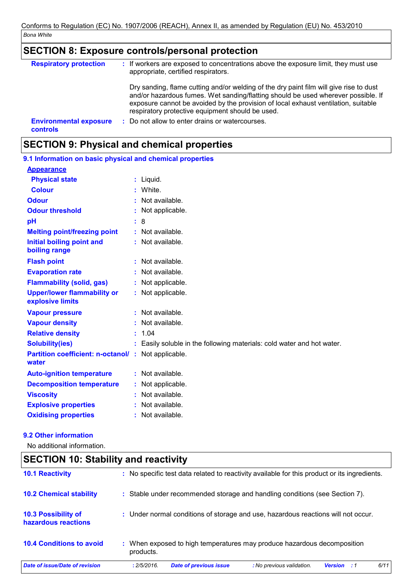# $|\mathsf{SECTION\ 8}\colon \mathsf{Exposure\ controls/personal\ protection}$

| <b>Respiratory protection</b>                    |   | : If workers are exposed to concentrations above the exposure limit, they must use<br>appropriate, certified respirators.                                                                                                                                                                                             |
|--------------------------------------------------|---|-----------------------------------------------------------------------------------------------------------------------------------------------------------------------------------------------------------------------------------------------------------------------------------------------------------------------|
|                                                  |   | Dry sanding, flame cutting and/or welding of the dry paint film will give rise to dust<br>and/or hazardous fumes. Wet sanding/flatting should be used wherever possible. If<br>exposure cannot be avoided by the provision of local exhaust ventilation, suitable<br>respiratory protective equipment should be used. |
| <b>Environmental exposure</b><br><b>controls</b> | ÷ | Do not allow to enter drains or watercourses.                                                                                                                                                                                                                                                                         |

# **SECTION 9: Physical and chemical properties**

| 9.1 Information on basic physical and chemical properties |    |                                                                      |  |
|-----------------------------------------------------------|----|----------------------------------------------------------------------|--|
| <b>Appearance</b>                                         |    |                                                                      |  |
| <b>Physical state</b>                                     |    | : Liquid.                                                            |  |
| <b>Colour</b>                                             |    | White.                                                               |  |
| <b>Odour</b>                                              |    | Not available.                                                       |  |
| <b>Odour threshold</b>                                    |    | Not applicable.                                                      |  |
| pH                                                        | ÷. | 8                                                                    |  |
| <b>Melting point/freezing point</b>                       |    | Not available.                                                       |  |
| <b>Initial boiling point and</b><br>boiling range         |    | Not available.                                                       |  |
| <b>Flash point</b>                                        |    | : Not available.                                                     |  |
| <b>Evaporation rate</b>                                   |    | Not available.                                                       |  |
| <b>Flammability (solid, gas)</b>                          |    | Not applicable.                                                      |  |
| <b>Upper/lower flammability or</b><br>explosive limits    |    | : Not applicable.                                                    |  |
| <b>Vapour pressure</b>                                    |    | : Not available.                                                     |  |
| <b>Vapour density</b>                                     |    | Not available.                                                       |  |
| <b>Relative density</b>                                   | ÷. | 1.04                                                                 |  |
| <b>Solubility(ies)</b>                                    |    | Easily soluble in the following materials: cold water and hot water. |  |
| <b>Partition coefficient: n-octanol/</b><br>water         | ÷. | Not applicable.                                                      |  |
| <b>Auto-ignition temperature</b>                          |    | : Not available.                                                     |  |
| <b>Decomposition temperature</b>                          |    | Not applicable.                                                      |  |
| <b>Viscosity</b>                                          |    | Not available.                                                       |  |
| <b>Explosive properties</b>                               |    | Not available.                                                       |  |
| <b>Oxidising properties</b>                               |    | Not available.                                                       |  |

### 9.2 Other information

 $\Gamma$ 

No additional information.

| <b>SECTION 10: Stability and reactivity</b> |                                                                                                         |  |  |  |
|---------------------------------------------|---------------------------------------------------------------------------------------------------------|--|--|--|
| <b>10.1 Reactivity</b>                      | : No specific test data related to reactivity available for this product or its ingredients.            |  |  |  |
| <b>10.2 Chemical stability</b>              | : Stable under recommended storage and handling conditions (see Section 7).                             |  |  |  |
| 10.3 Possibility of<br>hazardous reactions  | : Under normal conditions of storage and use, hazardous reactions will not occur.                       |  |  |  |
| <b>10.4 Conditions to avoid</b>             | : When exposed to high temperatures may produce hazardous decomposition<br>products.                    |  |  |  |
| Date of issue/Date of revision              | 6/11<br><b>Date of previous issue</b><br>: No previous validation.<br>: 2/5/2016.<br><b>Version</b> : 1 |  |  |  |

┑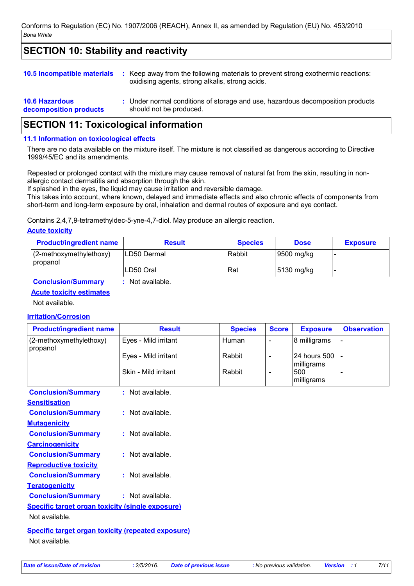# **SECTION 10: Stability and reactivity**

| <b>10.5 Incompatible materials</b>              | ÷. | Keep away from the following materials to prevent strong exothermic reactions:<br>oxidising agents, strong alkalis, strong acids. |
|-------------------------------------------------|----|-----------------------------------------------------------------------------------------------------------------------------------|
| <b>10.6 Hazardous</b><br>decomposition products |    | : Under normal conditions of storage and use, hazardous decomposition products<br>should not be produced.                         |

# **SECTION 11: Toxicological information**

### 11.1 Information on toxicological effects

There are no data available on the mixture itself. The mixture is not classified as dangerous according to Directive 1999/45/EC and its amendments.

Repeated or prolonged contact with the mixture may cause removal of natural fat from the skin, resulting in nonallergic contact dermatitis and absorption through the skin.

If splashed in the eyes, the liquid may cause irritation and reversible damage.

This takes into account, where known, delayed and immediate effects and also chronic effects of components from short-term and long-term exposure by oral, inhalation and dermal routes of exposure and eye contact.

Contains 2,4,7,9-tetramethyldec-5-yne-4,7-diol. May produce an allergic reaction.

#### **Acute toxicity**

| <b>Product/ingredient name</b>                  | <b>Result</b> | <b>Species</b> | <b>Dose</b> | <b>Exposure</b> |
|-------------------------------------------------|---------------|----------------|-------------|-----------------|
| $(2$ -methoxymethylethoxy)<br><i>I</i> propanol | ILD50 Dermal  | Rabbit         | 9500 mg/kg  |                 |
|                                                 | LD50 Oral     | Rat            | 15130 mg/kg |                 |

**Conclusion/Summary** : Not available.

### **Acute toxicity estimates**

Not available.

### **Irritation/Corrosion**

| <b>Product/ingredient name</b>                            | <b>Result</b>        | <b>Species</b> | <b>Score</b>   | <b>Exposure</b>                 | <b>Observation</b> |  |
|-----------------------------------------------------------|----------------------|----------------|----------------|---------------------------------|--------------------|--|
| (2-methoxymethylethoxy)<br>propanol                       | Eyes - Mild irritant | Human          |                | 8 milligrams                    |                    |  |
|                                                           | Eyes - Mild irritant | Rabbit         | $\blacksquare$ | 24 hours 500                    |                    |  |
|                                                           | Skin - Mild irritant | Rabbit         |                | milligrams<br>500<br>milligrams |                    |  |
| <b>Conclusion/Summary</b>                                 | : Not available.     |                |                |                                 |                    |  |
| <b>Sensitisation</b>                                      |                      |                |                |                                 |                    |  |
| <b>Conclusion/Summary</b>                                 | : Not available.     |                |                |                                 |                    |  |
| <b>Mutagenicity</b>                                       |                      |                |                |                                 |                    |  |
| <b>Conclusion/Summary</b>                                 | $:$ Not available.   |                |                |                                 |                    |  |
| <b>Carcinogenicity</b>                                    |                      |                |                |                                 |                    |  |
| <b>Conclusion/Summary</b>                                 | : Not available.     |                |                |                                 |                    |  |
| <b>Reproductive toxicity</b>                              |                      |                |                |                                 |                    |  |
| <b>Conclusion/Summary</b>                                 | : Not available.     |                |                |                                 |                    |  |
| <b>Teratogenicity</b>                                     |                      |                |                |                                 |                    |  |
| <b>Conclusion/Summary</b><br>: Not available.             |                      |                |                |                                 |                    |  |
| <b>Specific target organ toxicity (single exposure)</b>   |                      |                |                |                                 |                    |  |
| Not available.                                            |                      |                |                |                                 |                    |  |
| <b>Specific target organ toxicity (repeated exposure)</b> |                      |                |                |                                 |                    |  |
| Not available.                                            |                      |                |                |                                 |                    |  |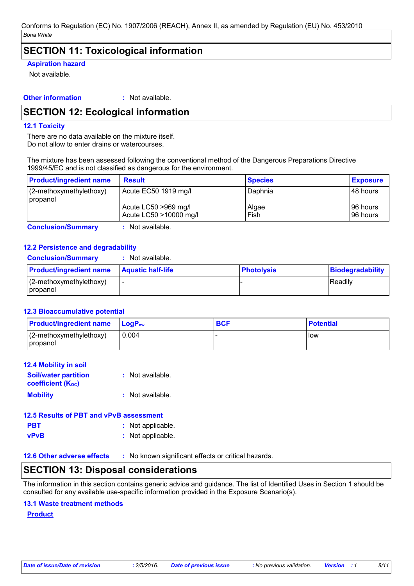## **SECTION 11: Toxicological information**

### **Aspiration hazard**

Not available.

**Other information** : Not available.

# **SECTION 12: Ecological information**

### **12.1 Toxicity**

There are no data available on the mixture itself. Do not allow to enter drains or watercourses.

The mixture has been assessed following the conventional method of the Dangerous Preparations Directive 1999/45/EC and is not classified as dangerous for the environment.

| <b>Product/ingredient name</b>      | <b>Result</b>                                                          | <b>Species</b>           | <b>Exposure</b>                     |
|-------------------------------------|------------------------------------------------------------------------|--------------------------|-------------------------------------|
| (2-methoxymethylethoxy)<br>propanol | Acute EC50 1919 mg/l<br>Acute LC50 >969 mg/l<br>Acute LC50 >10000 mg/l | Daphnia<br>Algae<br>Fish | 148 hours<br>196 hours<br>196 hours |
|                                     | .                                                                      |                          |                                     |

**Conclusion/Summary** 

: Not available.

### 12.2 Persistence and degradability

| <b>Conclusion/Summary</b>             | Not available.           |                   |                         |
|---------------------------------------|--------------------------|-------------------|-------------------------|
| <b>Product/ingredient name</b>        | <b>Aquatic half-life</b> | <b>Photolysis</b> | <b>Biodegradability</b> |
| $(2-methoxymethylethoxy)$<br>propanol |                          |                   | l Readilv               |

### **12.3 Bioaccumulative potential**

| <b>Product/ingredient name</b>         | <b>LogP</b> <sub>ow</sub> | <b>BCF</b> | <b>Potential</b> |
|----------------------------------------|---------------------------|------------|------------------|
| $(2$ -methoxymethylethoxy)<br>propanol | 0.004                     |            | <b>I</b> low     |

| <b>12.4 Mobility in soil</b>                            |                  |
|---------------------------------------------------------|------------------|
| <b>Soil/water partition</b><br><b>coefficient (Koc)</b> | : Not available. |
| <b>Mobility</b>                                         | : Not available. |
| 12.5 Results of PRT and vPvR assessment                 |                  |

|            | <u>iziv incound of Ferrain vi ve addedingin</u> |
|------------|-------------------------------------------------|
| <b>PBT</b> | : Not applicable.                               |
| vPvB       | : Not applicable.                               |

12.6 Other adverse effects : No known significant effects or critical hazards.

# **SECTION 13: Disposal considerations**

The information in this section contains generic advice and quidance. The list of Identified Uses in Section 1 should be consulted for any available use-specific information provided in the Exposure Scenario(s).

### **13.1 Waste treatment methods**

**Product**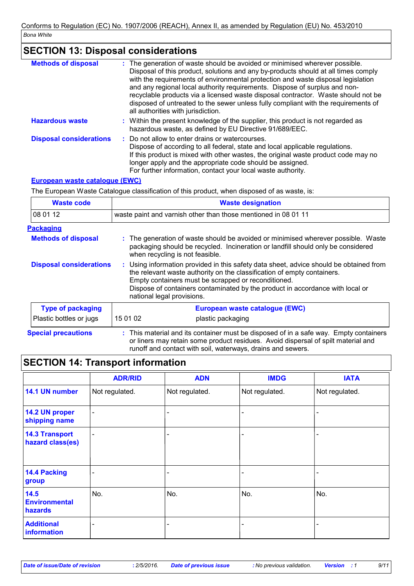### **SECTION 13: Disposal considerations**

| <b>Methods of disposal</b>     | : The generation of waste should be avoided or minimised wherever possible.<br>Disposal of this product, solutions and any by-products should at all times comply<br>with the requirements of environmental protection and waste disposal legislation<br>and any regional local authority requirements. Dispose of surplus and non-<br>recyclable products via a licensed waste disposal contractor. Waste should not be<br>disposed of untreated to the sewer unless fully compliant with the requirements of<br>all authorities with jurisdiction. |
|--------------------------------|------------------------------------------------------------------------------------------------------------------------------------------------------------------------------------------------------------------------------------------------------------------------------------------------------------------------------------------------------------------------------------------------------------------------------------------------------------------------------------------------------------------------------------------------------|
| <b>Hazardous waste</b>         | : Within the present knowledge of the supplier, this product is not regarded as<br>hazardous waste, as defined by EU Directive 91/689/EEC.                                                                                                                                                                                                                                                                                                                                                                                                           |
| <b>Disposal considerations</b> | : Do not allow to enter drains or watercourses.<br>Dispose of according to all federal, state and local applicable regulations.<br>If this product is mixed with other wastes, the original waste product code may no<br>longer apply and the appropriate code should be assigned.<br>For further information, contact your local waste authority.                                                                                                                                                                                                   |

### European waste catalogue (EWC)

The European Waste Catalogue classification of this product, when disposed of as waste, is:

| <b>Waste code</b>              | <b>Waste designation</b>                                                                                                                                                                                                                                                                                                                |                                                                                                                                                                                                          |  |
|--------------------------------|-----------------------------------------------------------------------------------------------------------------------------------------------------------------------------------------------------------------------------------------------------------------------------------------------------------------------------------------|----------------------------------------------------------------------------------------------------------------------------------------------------------------------------------------------------------|--|
| 08 01 12                       | waste paint and varnish other than those mentioned in 08 01 11                                                                                                                                                                                                                                                                          |                                                                                                                                                                                                          |  |
| <b>Packaging</b>               |                                                                                                                                                                                                                                                                                                                                         |                                                                                                                                                                                                          |  |
| <b>Methods of disposal</b>     |                                                                                                                                                                                                                                                                                                                                         | : The generation of waste should be avoided or minimised wherever possible. Waste<br>packaging should be recycled. Incineration or landfill should only be considered<br>when recycling is not feasible. |  |
| <b>Disposal considerations</b> | : Using information provided in this safety data sheet, advice should be obtained from<br>the relevant waste authority on the classification of empty containers.<br>Empty containers must be scrapped or reconditioned.<br>Dispose of containers contaminated by the product in accordance with local or<br>national legal provisions. |                                                                                                                                                                                                          |  |
| <b>Type of packaging</b>       |                                                                                                                                                                                                                                                                                                                                         | European waste catalogue (EWC)                                                                                                                                                                           |  |
| Plastic bottles or jugs        | 15 01 02                                                                                                                                                                                                                                                                                                                                | plastic packaging                                                                                                                                                                                        |  |
| <b>Special precautions</b>     |                                                                                                                                                                                                                                                                                                                                         | : This material and its container must be disposed of in a safe way. Empty containers<br>or liners may retain some product residues. Avoid dispersal of spilt material and                               |  |

runoff and contact with soil, waterways, drains and sewers.

# **SECTION 14: Transport information**

|                                           | <b>ADR/RID</b>           | <b>ADN</b>               | <b>IMDG</b>    | <b>IATA</b>    |
|-------------------------------------------|--------------------------|--------------------------|----------------|----------------|
| 14.1 UN number                            | Not regulated.           | Not regulated.           | Not regulated. | Not regulated. |
| 14.2 UN proper<br>shipping name           | $\blacksquare$           | $\overline{\phantom{a}}$ |                |                |
| <b>14.3 Transport</b><br>hazard class(es) | $\blacksquare$           |                          |                |                |
| 14.4 Packing<br>group                     | $\overline{\phantom{a}}$ |                          |                |                |
| 14.5<br><b>Environmental</b><br>hazards   | No.                      | No.                      | No.            | No.            |
| <b>Additional</b><br>information          | -                        |                          |                | -              |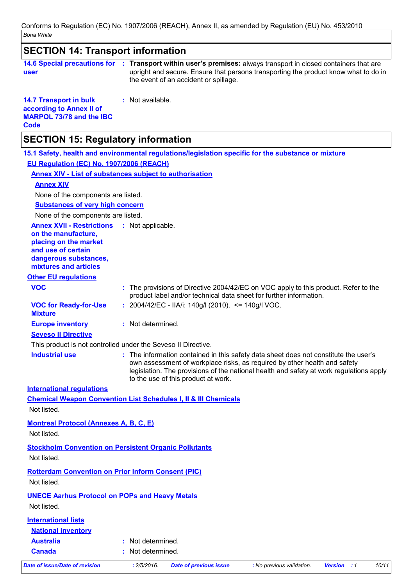| <b>SECTION 14: Transport information</b>                                                                             |                                                                                                                                                                                                                                                                                                     |  |  |  |  |
|----------------------------------------------------------------------------------------------------------------------|-----------------------------------------------------------------------------------------------------------------------------------------------------------------------------------------------------------------------------------------------------------------------------------------------------|--|--|--|--|
| user                                                                                                                 | 14.6 Special precautions for : Transport within user's premises: always transport in closed containers that are<br>upright and secure. Ensure that persons transporting the product know what to do in<br>the event of an accident or spillage.                                                     |  |  |  |  |
| <b>14.7 Transport in bulk</b><br>according to Annex II of<br><b>MARPOL 73/78 and the IBC</b><br><b>Code</b>          | : Not available.                                                                                                                                                                                                                                                                                    |  |  |  |  |
| <b>SECTION 15: Regulatory information</b>                                                                            |                                                                                                                                                                                                                                                                                                     |  |  |  |  |
|                                                                                                                      | 15.1 Safety, health and environmental regulations/legislation specific for the substance or mixture                                                                                                                                                                                                 |  |  |  |  |
| EU Requlation (EC) No. 1907/2006 (REACH)                                                                             |                                                                                                                                                                                                                                                                                                     |  |  |  |  |
|                                                                                                                      | <b>Annex XIV - List of substances subject to authorisation</b>                                                                                                                                                                                                                                      |  |  |  |  |
| <b>Annex XIV</b>                                                                                                     |                                                                                                                                                                                                                                                                                                     |  |  |  |  |
| None of the components are listed.                                                                                   |                                                                                                                                                                                                                                                                                                     |  |  |  |  |
| <b>Substances of very high concern</b>                                                                               |                                                                                                                                                                                                                                                                                                     |  |  |  |  |
| None of the components are listed.<br><b>Annex XVII - Restrictions</b>                                               | : Not applicable.                                                                                                                                                                                                                                                                                   |  |  |  |  |
| on the manufacture,<br>placing on the market<br>and use of certain<br>dangerous substances,<br>mixtures and articles |                                                                                                                                                                                                                                                                                                     |  |  |  |  |
| <b>Other EU regulations</b>                                                                                          |                                                                                                                                                                                                                                                                                                     |  |  |  |  |
| <b>VOC</b>                                                                                                           | : The provisions of Directive 2004/42/EC on VOC apply to this product. Refer to the<br>product label and/or technical data sheet for further information.                                                                                                                                           |  |  |  |  |
| <b>VOC for Ready-for-Use</b><br><b>Mixture</b>                                                                       | : 2004/42/EC - IIA/i: 140g/l (2010). <= 140g/l VOC.                                                                                                                                                                                                                                                 |  |  |  |  |
| <b>Europe inventory</b>                                                                                              | : Not determined.                                                                                                                                                                                                                                                                                   |  |  |  |  |
| <b>Seveso II Directive</b>                                                                                           |                                                                                                                                                                                                                                                                                                     |  |  |  |  |
|                                                                                                                      | This product is not controlled under the Seveso II Directive.                                                                                                                                                                                                                                       |  |  |  |  |
| <b>Industrial use</b>                                                                                                | : The information contained in this safety data sheet does not constitute the user's<br>own assessment of workplace risks, as required by other health and safety<br>legislation. The provisions of the national health and safety at work regulations apply<br>to the use of this product at work. |  |  |  |  |
| <b>International regulations</b>                                                                                     |                                                                                                                                                                                                                                                                                                     |  |  |  |  |
|                                                                                                                      | <b>Chemical Weapon Convention List Schedules I, II &amp; III Chemicals</b>                                                                                                                                                                                                                          |  |  |  |  |
| Not listed.                                                                                                          |                                                                                                                                                                                                                                                                                                     |  |  |  |  |
| <b>Montreal Protocol (Annexes A, B, C, E)</b><br>Not listed.                                                         |                                                                                                                                                                                                                                                                                                     |  |  |  |  |
| <b>Stockholm Convention on Persistent Organic Pollutants</b>                                                         |                                                                                                                                                                                                                                                                                                     |  |  |  |  |
| Not listed.                                                                                                          |                                                                                                                                                                                                                                                                                                     |  |  |  |  |
| <b>Rotterdam Convention on Prior Inform Consent (PIC)</b>                                                            |                                                                                                                                                                                                                                                                                                     |  |  |  |  |
| Not listed.                                                                                                          |                                                                                                                                                                                                                                                                                                     |  |  |  |  |
| <b>UNECE Aarhus Protocol on POPs and Heavy Metals</b>                                                                |                                                                                                                                                                                                                                                                                                     |  |  |  |  |
| Not listed.                                                                                                          |                                                                                                                                                                                                                                                                                                     |  |  |  |  |
| <b>International lists</b>                                                                                           |                                                                                                                                                                                                                                                                                                     |  |  |  |  |
| <b>National inventory</b>                                                                                            |                                                                                                                                                                                                                                                                                                     |  |  |  |  |
| <b>Australia</b>                                                                                                     | : Not determined.                                                                                                                                                                                                                                                                                   |  |  |  |  |
| <b>Canada</b>                                                                                                        | : Not determined.                                                                                                                                                                                                                                                                                   |  |  |  |  |